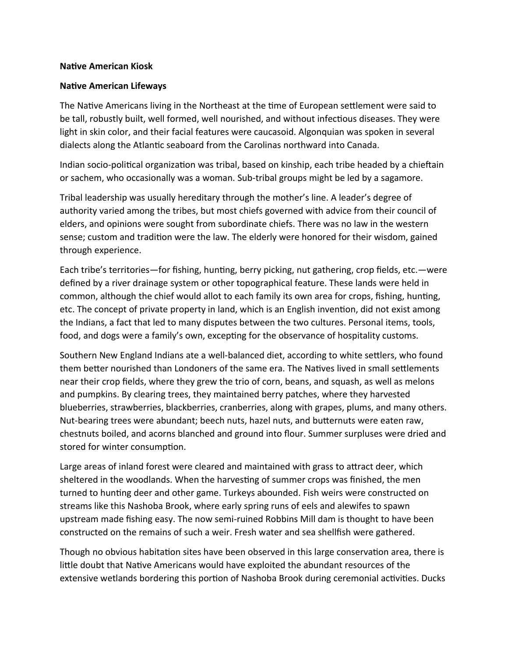## **Native American Kiosk**

## **Native American Lifeways**

The Native Americans living in the Northeast at the time of European settlement were said to be tall, robustly built, well formed, well nourished, and without infectious diseases. They were light in skin color, and their facial features were caucasoid. Algonquian was spoken in several dialects along the Atlantic seaboard from the Carolinas northward into Canada.

Indian socio-political organization was tribal, based on kinship, each tribe headed by a chieftain or sachem, who occasionally was a woman. Sub-tribal groups might be led by a sagamore.

Tribal leadership was usually hereditary through the mother's line. A leader's degree of authority varied among the tribes, but most chiefs governed with advice from their council of elders, and opinions were sought from subordinate chiefs. There was no law in the western sense; custom and tradition were the law. The elderly were honored for their wisdom, gained through experience.

Each tribe's territories—for fishing, hunting, berry picking, nut gathering, crop fields, etc.—were defined by a river drainage system or other topographical feature. These lands were held in common, although the chief would allot to each family its own area for crops, fishing, hunting, etc. The concept of private property in land, which is an English invention, did not exist among the Indians, a fact that led to many disputes between the two cultures. Personal items, tools, food, and dogs were a family's own, excepting for the observance of hospitality customs.

Southern New England Indians ate a well-balanced diet, according to white settlers, who found them better nourished than Londoners of the same era. The Natives lived in small settlements near their crop fields, where they grew the trio of corn, beans, and squash, as well as melons and pumpkins. By clearing trees, they maintained berry patches, where they harvested blueberries, strawberries, blackberries, cranberries, along with grapes, plums, and many others. Nut-bearing trees were abundant; beech nuts, hazel nuts, and butternuts were eaten raw, chestnuts boiled, and acorns blanched and ground into flour. Summer surpluses were dried and stored for winter consumption.

Large areas of inland forest were cleared and maintained with grass to attract deer, which sheltered in the woodlands. When the harvesting of summer crops was finished, the men turned to hunting deer and other game. Turkeys abounded. Fish weirs were constructed on streams like this Nashoba Brook, where early spring runs of eels and alewifes to spawn upstream made fishing easy. The now semi-ruined Robbins Mill dam is thought to have been constructed on the remains of such a weir. Fresh water and sea shellfish were gathered.

Though no obvious habitation sites have been observed in this large conservation area, there is little doubt that Native Americans would have exploited the abundant resources of the extensive wetlands bordering this portion of Nashoba Brook during ceremonial activities. Ducks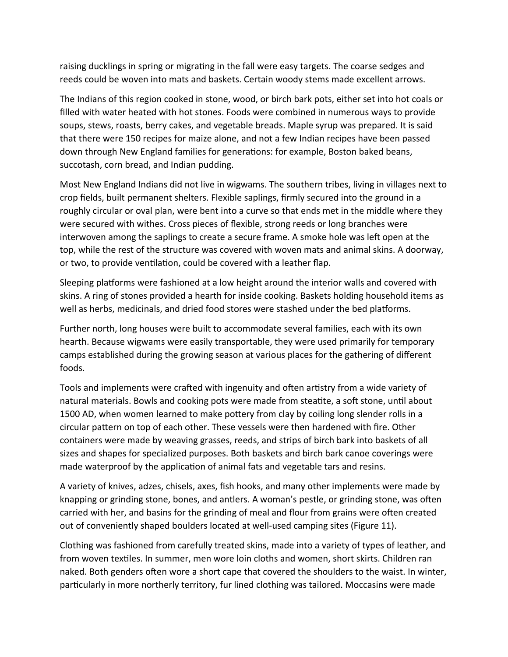raising ducklings in spring or migrating in the fall were easy targets. The coarse sedges and reeds could be woven into mats and baskets. Certain woody stems made excellent arrows.

The Indians of this region cooked in stone, wood, or birch bark pots, either set into hot coals or filled with water heated with hot stones. Foods were combined in numerous ways to provide soups, stews, roasts, berry cakes, and vegetable breads. Maple syrup was prepared. It is said that there were 150 recipes for maize alone, and not a few Indian recipes have been passed down through New England families for generations: for example, Boston baked beans, succotash, corn bread, and Indian pudding.

Most New England Indians did not live in wigwams. The southern tribes, living in villages next to crop fields, built permanent shelters. Flexible saplings, firmly secured into the ground in a roughly circular or oval plan, were bent into a curve so that ends met in the middle where they were secured with withes. Cross pieces of flexible, strong reeds or long branches were interwoven among the saplings to create a secure frame. A smoke hole was left open at the top, while the rest of the structure was covered with woven mats and animal skins. A doorway, or two, to provide ventilation, could be covered with a leather flap.

Sleeping platforms were fashioned at a low height around the interior walls and covered with skins. A ring of stones provided a hearth for inside cooking. Baskets holding household items as well as herbs, medicinals, and dried food stores were stashed under the bed platforms.

Further north, long houses were built to accommodate several families, each with its own hearth. Because wigwams were easily transportable, they were used primarily for temporary camps established during the growing season at various places for the gathering of different foods.

Tools and implements were crafted with ingenuity and often artistry from a wide variety of natural materials. Bowls and cooking pots were made from steatite, a soft stone, until about 1500 AD, when women learned to make pottery from clay by coiling long slender rolls in a circular pattern on top of each other. These vessels were then hardened with fire. Other containers were made by weaving grasses, reeds, and strips of birch bark into baskets of all sizes and shapes for specialized purposes. Both baskets and birch bark canoe coverings were made waterproof by the application of animal fats and vegetable tars and resins.

A variety of knives, adzes, chisels, axes, fish hooks, and many other implements were made by knapping or grinding stone, bones, and antlers. A woman's pestle, or grinding stone, was often carried with her, and basins for the grinding of meal and flour from grains were often created out of conveniently shaped boulders located at well-used camping sites (Figure 11).

Clothing was fashioned from carefully treated skins, made into a variety of types of leather, and from woven textiles. In summer, men wore loin cloths and women, short skirts. Children ran naked. Both genders often wore a short cape that covered the shoulders to the waist. In winter, particularly in more northerly territory, fur lined clothing was tailored. Moccasins were made